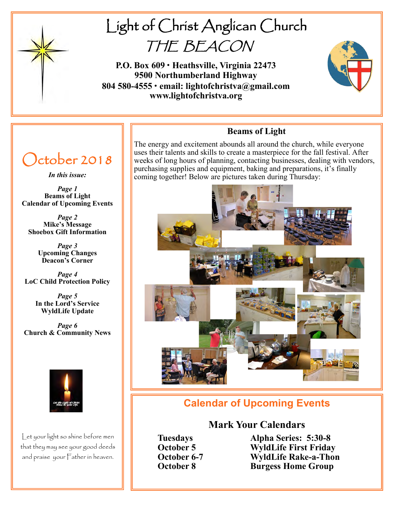

# Light of Christ Anglican Church THE BEACON

**P.O. Box 609 • Heathsville, Virginia 22473 9500 Northumberland Highway 804 580-4555 • email: lightofchristva@gmail.com www.lightofchristva.org**



# October 2018

*In this issue:*

*Page 1* **Beams of Light Calendar of Upcoming Events**

*Page 2* **Mike's Message Shoebox Gift Information**

> *Page 3* **Upcoming Changes Deacon's Corner**

*Page 4* **LoC Child Protection Policy**

> *Page 5* **In the Lord's Service WyldLife Update**

*Page 6* **Church & Community News**



Let your light so shine before men that they may see your good deeds and praise your Father in heaven.

## **Beams of Light**

The energy and excitement abounds all around the church, while everyone uses their talents and skills to create a masterpiece for the fall festival. After weeks of long hours of planning, contacting businesses, dealing with vendors, purchasing supplies and equipment, baking and preparations, it's finally coming together! Below are pictures taken during Thursday:



# **Calendar of Upcoming Events**

### **Mark Your Calendars**

**Tuesdays Alpha Series: 5:30-8 October 5 WyldLife First Friday**<br> **October 6-7 WyldLife Rake-a-Thor October 6-7 WyldLife Rake-a-Thon October 8 Burgess Home Group**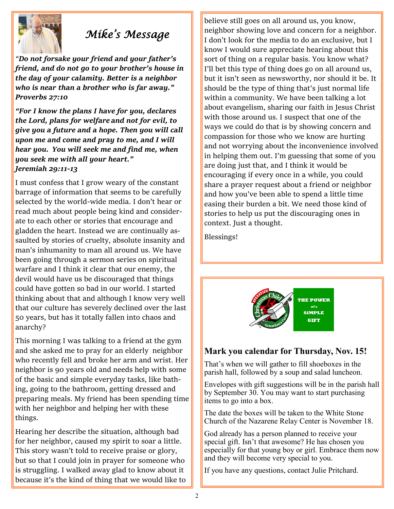

# *Mike's Message*

*"Do not forsake your friend and your father's friend, and do not go to your brother's house in the day of your calamity. Better is a neighbor who is near than a brother who is far away." Proverbs 27:10*

*"For I know the plans I have for you, declares the Lord, plans for welfare and not for evil, to give you a future and a hope. Then you will call upon me and come and pray to me, and I will hear you. You will seek me and find me, when you seek me with all your heart." Jeremiah 29:11-13*

I must confess that I grow weary of the constant barrage of information that seems to be carefully selected by the world-wide media. I don't hear or read much about people being kind and considerate to each other or stories that encourage and gladden the heart. Instead we are continually assaulted by stories of cruelty, absolute insanity and man's inhumanity to man all around us. We have been going through a sermon series on spiritual warfare and I think it clear that our enemy, the devil would have us be discouraged that things could have gotten so bad in our world. I started thinking about that and although I know very well that our culture has severely declined over the last 50 years, but has it totally fallen into chaos and anarchy?

This morning I was talking to a friend at the gym and she asked me to pray for an elderly neighbor who recently fell and broke her arm and wrist. Her neighbor is 90 years old and needs help with some of the basic and simple everyday tasks, like bathing, going to the bathroom, getting dressed and preparing meals. My friend has been spending time with her neighbor and helping her with these things.

Hearing her describe the situation, although bad for her neighbor, caused my spirit to soar a little. This story wasn't told to receive praise or glory, but so that I could join in prayer for someone who is struggling. I walked away glad to know about it because it's the kind of thing that we would like to

believe still goes on all around us, you know, neighbor showing love and concern for a neighbor. I don't look for the media to do an exclusive, but I know I would sure appreciate hearing about this sort of thing on a regular basis. You know what? I'll bet this type of thing does go on all around us, but it isn't seen as newsworthy, nor should it be. It should be the type of thing that's just normal life within a community. We have been talking a lot about evangelism, sharing our faith in Jesus Christ with those around us. I suspect that one of the ways we could do that is by showing concern and compassion for those who we know are hurting and not worrying about the inconvenience involved in helping them out. I'm guessing that some of you are doing just that, and I think it would be encouraging if every once in a while, you could share a prayer request about a friend or neighbor and how you've been able to spend a little time easing their burden a bit. We need those kind of stories to help us put the discouraging ones in context. Just a thought.

Blessings!



### **Mark you calendar for Thursday, Nov. 15!**

That's when we will gather to fill shoeboxes in the parish hall, followed by a soup and salad luncheon.

Envelopes with gift suggestions will be in the parish hall by September 30. You may want to start purchasing items to go into a box.

The date the boxes will be taken to the White Stone Church of the Nazarene Relay Center is November 18.

God already has a person planned to receive your special gift. Isn't that awesome? He has chosen you especially for that young boy or girl. Embrace them now and they will become very special to you.

If you have any questions, contact Julie Pritchard.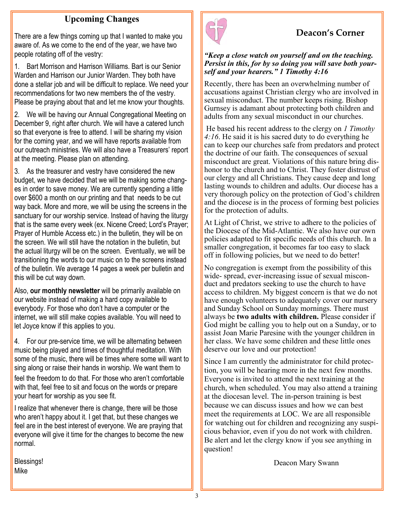### **Upcoming Changes**

There are a few things coming up that I wanted to make you aware of. As we come to the end of the year, we have two people rotating off of the vestry:

1. Bart Morrison and Harrison Williams. Bart is our Senior Warden and Harrison our Junior Warden. They both have done a stellar job and will be difficult to replace. We need your recommendations for two new members the of the vestry. Please be praying about that and let me know your thoughts.

2. We will be having our Annual Congregational Meeting on December 9, right after church. We will have a catered lunch so that everyone is free to attend. I will be sharing my vision for the coming year, and we will have reports available from our outreach ministries. We will also have a Treasurers' report at the meeting. Please plan on attending.

3. As the treasurer and vestry have considered the new budget, we have decided that we will be making some changes in order to save money. We are currently spending a little over \$600 a month on our printing and that needs to be cut way back. More and more, we will be using the screens in the sanctuary for our worship service. Instead of having the liturgy that is the same every week (ex. Nicene Creed; Lord's Prayer; Prayer of Humble Access etc.) in the bulletin, they will be on the screen. We will still have the notation in the bulletin, but the actual liturgy will be on the screen. Eventually, we will be transitioning the words to our music on to the screens instead of the bulletin. We average 14 pages a week per bulletin and this will be cut way down.

Also, **our monthly newsletter** will be primarily available on our website instead of making a hard copy available to everybody. For those who don't have a computer or the internet, we will still make copies available. You will need to let Joyce know if this applies to you.

4. For our pre-service time, we will be alternating between music being played and times of thoughtful meditation. With some of the music, there will be times where some will want to sing along or raise their hands in worship. We want them to feel the freedom to do that. For those who aren't comfortable with that, feel free to sit and focus on the words or prepare your heart for worship as you see fit.

I realize that whenever there is change, there will be those who aren't happy about it. I get that, but these changes we feel are in the best interest of everyone. We are praying that everyone will give it time for the changes to become the new normal.

Blessings! Mike



# **Deacon's Corner**

#### *"Keep a close watch on yourself and on the teaching. Persist in this, for by so doing you will save both yourself and your hearers." 1 Timothy 4:16*

Recently, there has been an overwhelming number of accusations against Christian clergy who are involved in sexual misconduct. The number keeps rising. Bishop Gurnsey is adamant about protecting both children and adults from any sexual misconduct in our churches.

He based his recent address to the clergy on *1 Timothy 4:16*. He said it is his sacred duty to do everything he can to keep our churches safe from predators and protect the doctrine of our faith. The consequences of sexual misconduct are great. Violations of this nature bring dishonor to the church and to Christ. They foster distrust of our clergy and all Christians. They cause deep and long lasting wounds to children and adults. Our diocese has a very thorough policy on the protection of God's children and the diocese is in the process of forming best policies for the protection of adults.

At Light of Christ, we strive to adhere to the policies of the Diocese of the Mid-Atlantic. We also have our own policies adapted to fit specific needs of this church. In a smaller congregation, it becomes far too easy to slack off in following policies, but we need to do better!

No congregation is exempt from the possibility of this wide- spread, ever-increasing issue of sexual misconduct and predators seeking to use the church to have access to children. My biggest concern is that we do not have enough volunteers to adequately cover our nursery and Sunday School on Sunday mornings. There must always be **two adults with children.** Please consider if God might be calling you to help out on a Sunday, or to assist Joan Marie Paresine with the younger children in her class. We have some children and these little ones deserve our love and our protection!

Since I am currently the administrator for child protection, you will be hearing more in the next few months. Everyone is invited to attend the next training at the church, when scheduled. You may also attend a training at the diocesan level. The in-person training is best because we can discuss issues and how we can best meet the requirements at LOC. We are all responsible for watching out for children and recognizing any suspicious behavior, even if you do not work with children. Be alert and let the clergy know if you see anything in question!

Deacon Mary Swann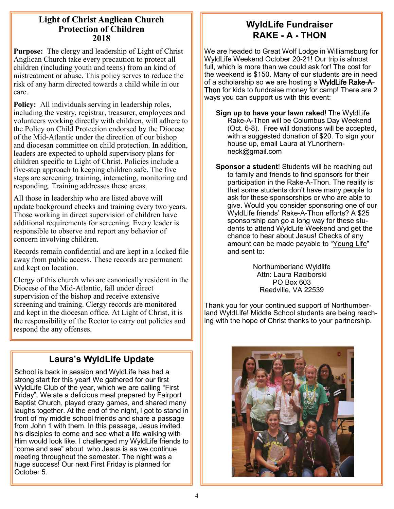#### **Light of Christ Anglican Church Protection of Children 2018**

**Purpose:** The clergy and leadership of Light of Christ Anglican Church take every precaution to protect all children (including youth and teens) from an kind of mistreatment or abuse. This policy serves to reduce the risk of any harm directed towards a child while in our care.

**Policy:** All individuals serving in leadership roles, including the vestry, registrar, treasurer, employees and volunteers working directly with children, will adhere to the Policy on Child Protection endorsed by the Diocese of the Mid-Atlantic under the direction of our bishop and diocesan committee on child protection. In addition, leaders are expected to uphold supervisory plans for children specific to Light of Christ. Policies include a five-step approach to keeping children safe. The five steps are screening, training, interacting, monitoring and responding. Training addresses these areas.

All those in leadership who are listed above will update background checks and training every two years. Those working in direct supervision of children have additional requirements for screening. Every leader is responsible to observe and report any behavior of concern involving children.

Records remain confidential and are kept in a locked file away from public access. These records are permanent and kept on location.

Clergy of this church who are canonically resident in the Diocese of the Mid-Atlantic, fall under direct supervision of the bishop and receive extensive screening and training. Clergy records are monitored and kept in the diocesan office. At Light of Christ, it is the responsibility of the Rector to carry out policies and respond the any offenses.

## **Laura's WyldLife Update**

School is back in session and WyldLife has had a strong start for this year! We gathered for our first WyldLife Club of the year, which we are calling "First Friday". We ate a delicious meal prepared by Fairport Baptist Church, played crazy games, and shared many laughs together. At the end of the night, I got to stand in front of my middle school friends and share a passage from John 1 with them. In this passage, Jesus invited his disciples to come and see what a life walking with Him would look like. I challenged my WyldLife friends to "come and see" about who Jesus is as we continue meeting throughout the semester. The night was a huge success! Our next First Friday is planned for October 5.

## **WyldLife Fundraiser RAKE - A - THON**

We are headed to Great Wolf Lodge in Williamsburg for WyldLife Weekend October 20-21! Our trip is almost full, which is more than we could ask for! The cost for the weekend is \$150. Many of our students are in need of a scholarship so we are hosting a WyldLife Rake-A-Thon for kids to fundraise money for camp! There are 2 ways you can support us with this event:

**Sign up to have your lawn raked**! The WyldLife Rake-A-Thon will be Columbus Day Weekend (Oct. 6-8). Free will donations will be accepted, with a suggested donation of \$20. To sign your house up, email Laura at YLnorthernneck@gmail.com

**Sponsor a student**! Students will be reaching out to family and friends to find sponsors for their participation in the Rake-A-Thon. The reality is that some students don't have many people to ask for these sponsorships or who are able to give. Would you consider sponsoring one of our WyldLife friends' Rake-A-Thon efforts? A \$25 sponsorship can go a long way for these students to attend WyldLife Weekend and get the chance to hear about Jesus! Checks of any amount can be made payable to "Young Life" and sent to:

> Northumberland Wyldlife Attn: Laura Raciborski PO Box 603 Reedville, VA 22539

Thank you for your continued support of Northumberland WyldLife! Middle School students are being reaching with the hope of Christ thanks to your partnership.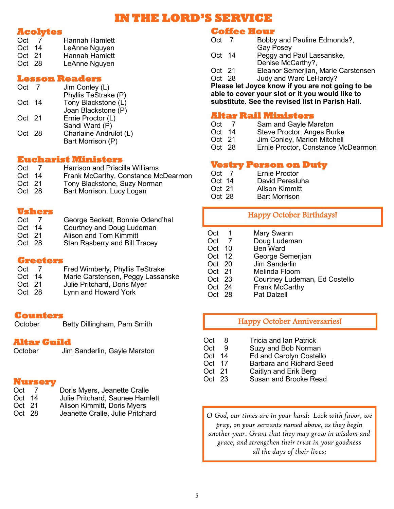# **IN THE LORD'S SERVICE**

#### **Acolytes**

| Oct      | Hannah Hamlett |
|----------|----------------|
| $Oct$ 14 | LeAnne Nguyen  |
| Oct 21   | Hannah Hamlett |
| Oct 28   | LeAnne Nguyen  |

#### **Lesson Readers**

| Phyllis TeStrake (P)<br>Tony Blackstone (L)<br>$Oct$ 14 |  |
|---------------------------------------------------------|--|
|                                                         |  |
| Joan Blackstone (P)<br>Ernie Proctor (L)<br>$Oct$ 21    |  |
| Sandi Ward (P)<br>Oct 28                                |  |
| Charlaine Andrulot (L)<br>Bart Morrison (P)             |  |

#### **Eucharist Ministers**

| Oct      | $\mathbf{7}$ | <b>Harrison and Priscilla Williams</b> |
|----------|--------------|----------------------------------------|
| $Oct$ 14 |              | Frank McCarthy, Constance McDearmon    |
| $Oct$ 21 |              | Tony Blackstone, Suzy Norman           |
| Oct 28   |              | Bart Morrison, Lucy Logan              |

#### **Ushers**

| Oct      | George Beckett, Bonnie Odend'hal     |
|----------|--------------------------------------|
| $Oct$ 14 | Courtney and Doug Ludeman            |
| $Oct$ 21 | Alison and Tom Kimmitt               |
| Oct 28   | <b>Stan Rasberry and Bill Tracey</b> |

#### **Greeters**

| Oct    | Fred Wimberly, Phyllis TeStrake   |
|--------|-----------------------------------|
| Oct 14 | Marie Carstensen, Peggy Lassanske |
| Oct 21 | Julie Pritchard, Doris Myer       |
| Oct 28 | Lynn and Howard York              |

#### **Counters**

October Betty Dillingham, Pam Smith

# **Altar Guild**<br>October Jim

Jim Sanderlin, Gayle Marston

#### **Nursery**

| Oct    | Doris Myers, Jeanette Cralle    |
|--------|---------------------------------|
| Oct 14 | Julie Pritchard, Saunee Hamlett |

- 
- Oct 21 Alison Kimmitt, Doris Myers<br>Oct 28 Jeanette Cralle, Julie Pritch Jeanette Cralle, Julie Pritchard

### **Coffee Hour**

| Oct 7                                            |  | Bobby and Pauline Edmonds?,         |
|--------------------------------------------------|--|-------------------------------------|
|                                                  |  | <b>Gay Posey</b>                    |
| Oct 14                                           |  | Peggy and Paul Lassanske,           |
|                                                  |  | Denise McCarthy?,                   |
| Oct 21                                           |  | Eleanor Semerjian, Marie Carstensen |
| Oct 28                                           |  | Judy and Ward LeHardy?              |
| Please let Joyce know if you are not going to be |  |                                     |
| able to cover your slot or it you would like to  |  |                                     |
| substitute. See the revised list in Parish Hall. |  |                                     |

#### **Altar Rail Ministers**

| Oct    | Sam and Gayle Marston       |
|--------|-----------------------------|
| Oct 14 | Steve Proctor, Anges Burke  |
| Oct 21 | Jim Conley, Marion Mitchell |

Oct 28 Ernie Proctor, Constance McDearmon

### **Vestry Person on Duty**

| Oct      | Ernie Proctor         |
|----------|-----------------------|
| $Oct$ 14 | David Peresluha       |
| Oct 21   | <b>Alison Kimmitt</b> |
| Oct 28   | <b>Bart Morrison</b>  |

#### Happy October Birthdays!

| Oct 1                 | Mary Swann                    |
|-----------------------|-------------------------------|
| Oct<br>$\overline{7}$ | Doug Ludeman                  |
| Oct 10                | <b>Ben Ward</b>               |
| Oct 12                | George Semerjian              |
| Oct 20                | Jim Sanderlin                 |
| Oct 21                | Melinda Floom                 |
| $Oct$ 23              | Courtney Ludeman, Ed Costello |
| Oct 24                | Frank McCarthy                |
| Oct 28                | Pat Dalzell                   |
|                       |                               |

#### Happy October Anniversaries!

- Oct 8 Tricia and Ian Patrick
- Oct 9 Suzy and Bob Norman<br>Oct 14 Ed and Carolyn Costell
- Ed and Carolyn Costello
- Oct 17 Barbara and Richard Seed<br>Oct 21 Caitlyn and Erik Berg
- Oct 21 Caitlyn and Erik Berg<br>Oct 23 Susan and Brooke Re
- Susan and Brooke Read

*O God, our times are in your hand: Look with favor, we pray, on your servants named above, as they begin another year. Grant that they may grow in wisdom and grace, and strengthen their trust in your goodness all the days of their lives;*